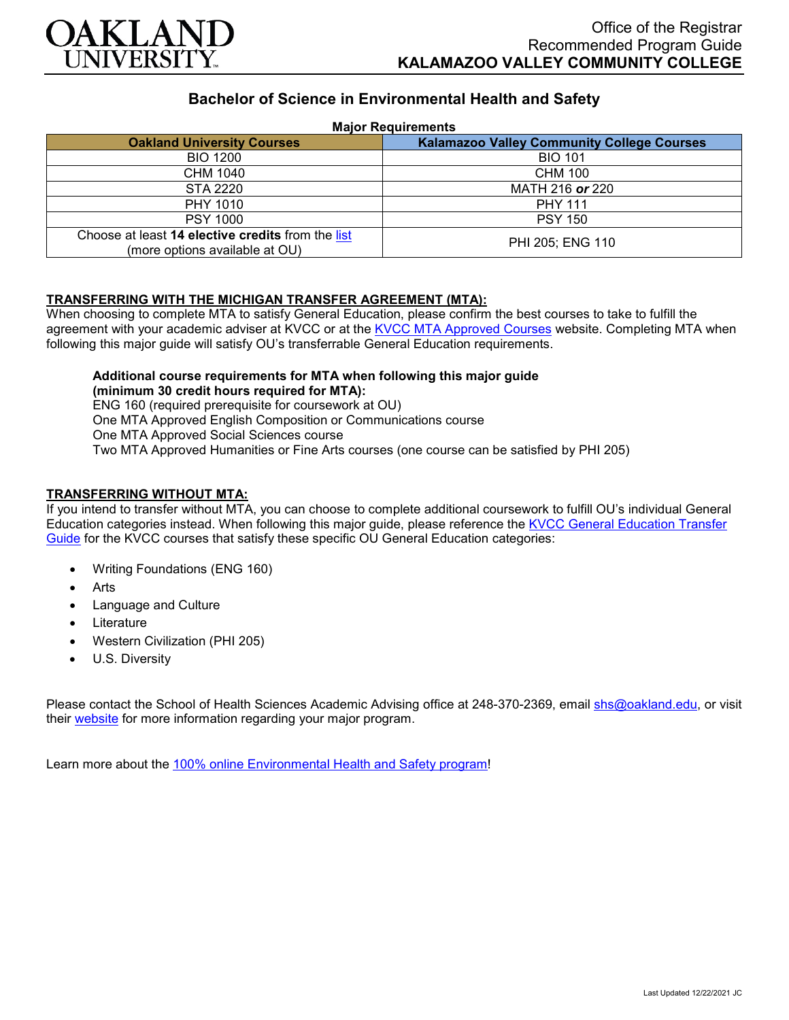

# **Bachelor of Science in Environmental Health and Safety**

#### **Major Requirements**

| <b>Oakland University Courses</b>                                                   | <b>Kalamazoo Valley Community College Courses</b> |
|-------------------------------------------------------------------------------------|---------------------------------------------------|
| <b>BIO 1200</b>                                                                     | <b>BIO 101</b>                                    |
| CHM 1040                                                                            | <b>CHM 100</b>                                    |
| <b>STA 2220</b>                                                                     | MATH 216 or 220                                   |
| <b>PHY 1010</b>                                                                     | <b>PHY 111</b>                                    |
| <b>PSY 1000</b>                                                                     | <b>PSY 150</b>                                    |
| Choose at least 14 elective credits from the list<br>(more options available at OU) | PHI 205; ENG 110                                  |

## **TRANSFERRING WITH THE MICHIGAN TRANSFER AGREEMENT (MTA):**

When choosing to complete MTA to satisfy General Education, please confirm the best courses to take to fulfill the agreement with your academic adviser at KVCC or at the [KVCC MTA Approved Courses](https://www.kvcc.edu/programs/mta.php) website. Completing MTA when following this major guide will satisfy OU's transferrable General Education requirements.

## **Additional course requirements for MTA when following this major guide (minimum 30 credit hours required for MTA):**

ENG 160 (required prerequisite for coursework at OU) One MTA Approved English Composition or Communications course One MTA Approved Social Sciences course Two MTA Approved Humanities or Fine Arts courses (one course can be satisfied by PHI 205)

## **TRANSFERRING WITHOUT MTA:**

If you intend to transfer without MTA, you can choose to complete additional coursework to fulfill OU's individual General Education categories instead. When following this major guide, please reference the [KVCC General Education Transfer](https://www.oakland.edu/Assets/Oakland/program-guides/kalamazoo-valley-community-college/university-general-education-requirements/Kalamazoo%20Valley%20Gen%20Ed.pdf)  [Guide](https://www.oakland.edu/Assets/Oakland/program-guides/kalamazoo-valley-community-college/university-general-education-requirements/Kalamazoo%20Valley%20Gen%20Ed.pdf) for the KVCC courses that satisfy these specific OU General Education categories:

- Writing Foundations (ENG 160)
- **Arts**
- Language and Culture
- **Literature**
- Western Civilization (PHI 205)
- U.S. Diversity

Please contact the School of Health Sciences Academic Advising office at 248-370-2369, email [shs@oakland.edu,](mailto:shs@oakland.edu) or visit their [website](http://www.oakland.edu/shs/advising) for more information regarding your major program.

Learn more about the [100% online Environmental Health and Safety program!](https://www.oakland.edu/online/undergraduate-degree-programs/ehs/)